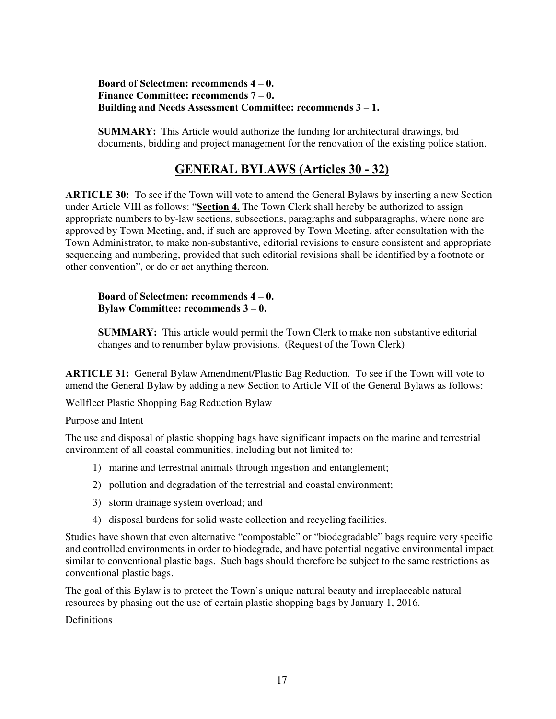## **Board of Selectmen: recommends 4 – 0. Finance Committee: recommends 7 – 0. Building and Needs Assessment Committee: recommends 3 – 1.**

**SUMMARY:** This Article would authorize the funding for architectural drawings, bid documents, bidding and project management for the renovation of the existing police station.

## **GENERAL BYLAWS (Articles 30 - 32)**

**ARTICLE 30:** To see if the Town will vote to amend the General Bylaws by inserting a new Section under Article VIII as follows: "**Section 4.** The Town Clerk shall hereby be authorized to assign appropriate numbers to by-law sections, subsections, paragraphs and subparagraphs, where none are approved by Town Meeting, and, if such are approved by Town Meeting, after consultation with the Town Administrator, to make non-substantive, editorial revisions to ensure consistent and appropriate sequencing and numbering, provided that such editorial revisions shall be identified by a footnote or other convention", or do or act anything thereon.

## **Board of Selectmen: recommends 4 – 0. Bylaw Committee: recommends 3 – 0.**

**SUMMARY:** This article would permit the Town Clerk to make non substantive editorial changes and to renumber bylaw provisions. (Request of the Town Clerk)

**ARTICLE 31:** General Bylaw Amendment/Plastic Bag Reduction. To see if the Town will vote to amend the General Bylaw by adding a new Section to Article VII of the General Bylaws as follows:

Wellfleet Plastic Shopping Bag Reduction Bylaw

Purpose and Intent

The use and disposal of plastic shopping bags have significant impacts on the marine and terrestrial environment of all coastal communities, including but not limited to:

- 1) marine and terrestrial animals through ingestion and entanglement;
- 2) pollution and degradation of the terrestrial and coastal environment;
- 3) storm drainage system overload; and
- 4) disposal burdens for solid waste collection and recycling facilities.

Studies have shown that even alternative "compostable" or "biodegradable" bags require very specific and controlled environments in order to biodegrade, and have potential negative environmental impact similar to conventional plastic bags. Such bags should therefore be subject to the same restrictions as conventional plastic bags.

The goal of this Bylaw is to protect the Town's unique natural beauty and irreplaceable natural resources by phasing out the use of certain plastic shopping bags by January 1, 2016.

Definitions